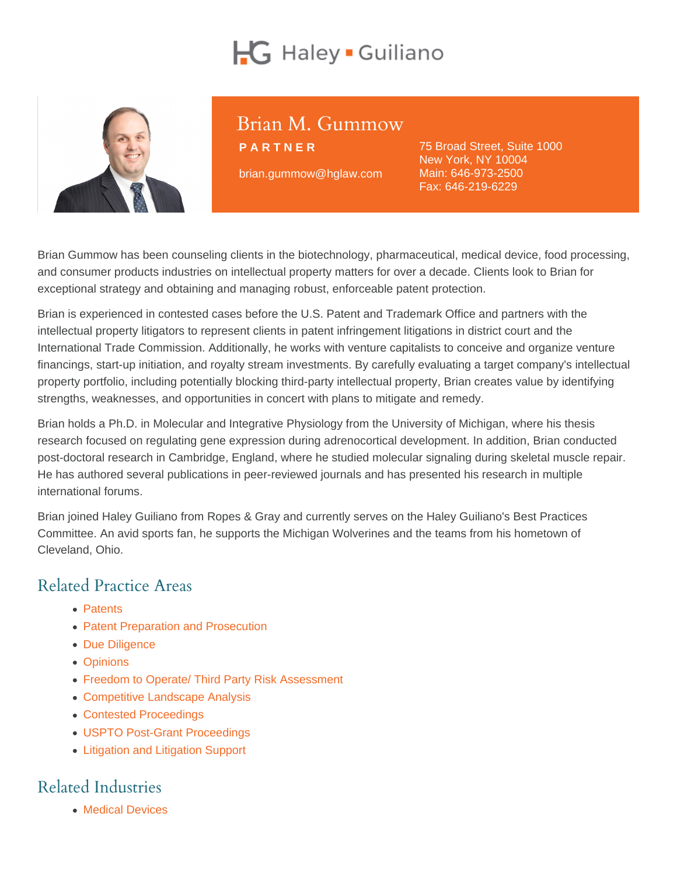# Brian M. Gummow

PARTNER brian.gummow@hglaw.com 75 Broad Street, Suite 1000 New York, NY 10004 Main: [646-973-2500](tel:+1-646-973-2500) Fax: 646-219-6229

Brian Gummow has been counseling clients in the biotechnology, pharmaceutical, medical device, food processing, and consumer products industries on intellectual property matters for over a decade. Clients look to Brian for exceptional strategy and obtaining and managing robust, enforceable patent protection.

Brian is experienced in contested cases before the U.S. Patent and Trademark Office and partners with the intellectual property litigators to represent clients in patent infringement litigations in district court and the International Trade Commission. Additionally, he works with venture capitalists to conceive and organize venture financings, start-up initiation, and royalty stream investments. By carefully evaluating a target company's intellectual property portfolio, including potentially blocking third-party intellectual property, Brian creates value by identifying strengths, weaknesses, and opportunities in concert with plans to mitigate and remedy.

Brian holds a Ph.D. in Molecular and Integrative Physiology from the University of Michigan, where his thesis research focused on regulating gene expression during adrenocortical development. In addition, Brian conducted post-doctoral research in Cambridge, England, where he studied molecular signaling during skeletal muscle repair. He has authored several publications in peer-reviewed journals and has presented his research in multiple international forums.

Brian joined Haley Guiliano from Ropes & Gray and currently serves on the Haley Guiliano's Best Practices Committee. An avid sports fan, he supports the Michigan Wolverines and the teams from his hometown of Cleveland, Ohio.

### Related Practice Areas

- [Patents](https://www.hglaw.com/practice-areas/patents/)
- [Patent Preparation and Prosecution](https://www.hglaw.com/practice-areas/patents/patent-preparation-prosecution/)
- [Due Diligence](https://www.hglaw.com/practice-areas/strategic-counseling/due-diligence/)
- [Opinions](https://www.hglaw.com/practice-areas/strategic-counseling/opinions/)
- [Freedom to Operate/ Third Party Risk Assessment](https://www.hglaw.com/practice-areas/strategic-counseling/freedom-to-operate-third-party-risk-assessment/)
- [Competitive Landscape Analysis](https://www.hglaw.com/practice-areas/strategic-counseling/competitive-landscape-analysis/)
- [Contested Proceedings](https://www.hglaw.com/practice-areas/contested-proceedings/)
- [USPTO Post-Grant Proceedings](https://www.hglaw.com/practice-areas/contested-proceedings/uspto-post-grant-proceedings/)
- [Litigation and Litigation Support](https://www.hglaw.com/practice-areas/contested-proceedings/litigation-support/)

#### Related Industries

[Medical Devices](https://www.hglaw.com/industries/medical-devices/)